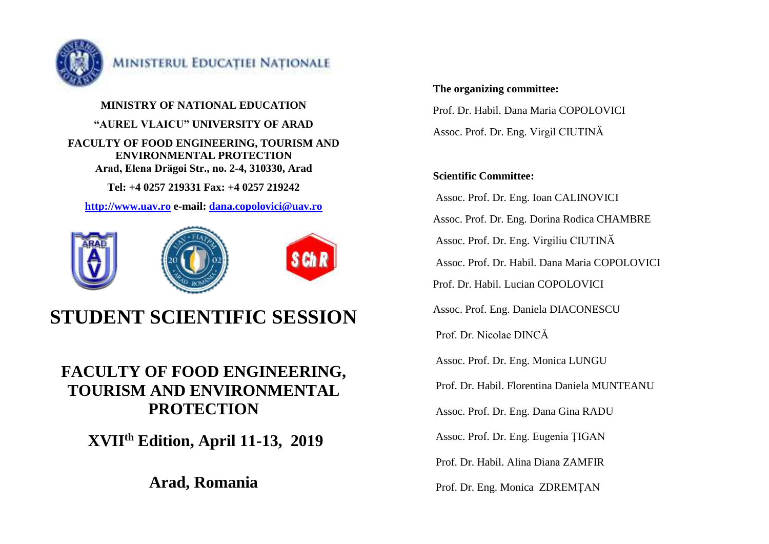

**MINISTRY OF NATIONAL EDUCATION "AUREL VLAICU" UNIVERSITY OF ARAD FACULTY OF FOOD ENGINEERING, TOURISM AND ENVIRONMENTAL PROTECTION Arad, Elena Drӑgoi Str., no. 2-4, 310330, Arad**

**Tel: +4 0257 219331 Fax: +4 0257 219242**

**[http://www.uav.ro](http://www.uav.ro/) e-mail: [dana.copolovici@uav.ro](mailto:dana.copolovici@uav.ro)**



# **STUDENT SCIENTIFIC SESSION**

## **FACULTY OF FOOD ENGINEERING, TOURISM AND ENVIRONMENTAL PROTECTION**

**XVIIth Edition, April 11-13, 2019**

**Arad, Romania**

#### **The organizing committee:**

Prof. Dr. Habil. Dana Maria COPOLOVICI Assoc. Prof. Dr. Eng. Virgil CIUTINӐ

## **Scientific Committee:**

Assoc. Prof. Dr. Eng. Ioan CALINOVICI Assoc. Prof. Dr. Eng. Dorina Rodica CHAMBRE Assoc. Prof. Dr. Eng. Virgiliu CIUTINӐ Assoc. Prof. Dr. Habil. Dana Maria COPOLOVICI Prof. Dr. Habil. Lucian COPOLOVICI Assoc. Prof. Eng. Daniela DIACONESCU Prof. Dr. Nicolae DINCĂ Assoc. Prof. Dr. Eng. Monica LUNGU Prof. Dr. Habil. Florentina Daniela MUNTEANU Assoc. Prof. Dr. Eng. Dana Gina RADU Assoc. Prof. Dr. Eng. Eugenia ŢIGAN Prof. Dr. Habil. Alina Diana ZAMFIR

Prof. Dr. Eng. Monica ZDREMŢAN